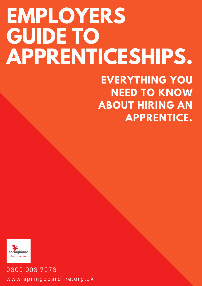# **EMPLOYERS GUIDE TO APPRENTICESHIPS.**

#### **EVERYTHING YOU NEED TO KNOW ABOUT HIRING AN APPRENTICE.**



0300 003 7073 www.springboard-ne.org.uk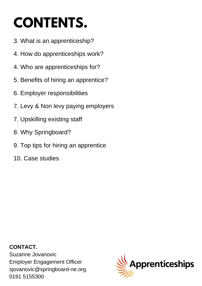# **CONTENTS.**

- 3. What is an apprenticeship?
- 4. How do apprenticeships work?
- 4. Who are apprenticeships for?
- 5. Benefits of hiring an apprentice?
- 6. Employer responsibilities
- 7. Levy & Non levy paying employers
- 7. Upskilling existing staff
- 8. Why Springboard?
- 9. Top tips for hiring an apprentice
- 10. Case studies

 $\alpha$ 2000 003 7070 003 7070  $\alpha$ sjovanovic@springboard-ne.org **CONTACT.** Suzanne Jovanovic Employer Engagement Officer 0191 5155300

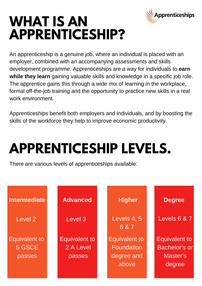

### **WHAT IS AN APPRENTICESHIP?**

An apprenticeship is a genuine job, where an individual is placed with an employer, combined with an accompanying assessments and skills development programme. Apprenticeships are a way for individuals to **earn while they learn** gaining valuable skills and knowledge in a specific job role. The apprentice gains this through a wide mix of learning in the workplace, formal off-the-job training and the opportunity to practice new skills in a real work environment.

Apprenticeships benefit both employers and individuals, and by boosting the skills of the workforce they help to improve economic productivity.

# **APPRENTICESHIP LEVELS.**

There are various levels of apprenticeships available:

| Intermediate                             | <b>Advanced</b>                             | <b>Higher</b>                                                    | <b>Degree</b>                                                             |
|------------------------------------------|---------------------------------------------|------------------------------------------------------------------|---------------------------------------------------------------------------|
| Level 2                                  | Level 3                                     | Levels 4, 5<br>6 & 7                                             | Levels 6 & 7                                                              |
| <b>Equivalent to</b><br>5 GSCE<br>passes | <b>Equivalent to</b><br>2 A Level<br>passes | <b>Equivalent to</b><br><b>Foundation</b><br>degree and<br>above | <b>Equivalent to</b><br><b>Bachelor's or</b><br><b>Master's</b><br>degree |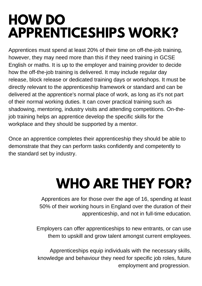### **HOW DO APPRENTICESHIPS WORK?**

Apprentices must spend at least 20% of their time on off-the-job training, however, they may need more than this if they need training in GCSE English or maths. It is up to the employer and training provider to decide how the off-the-job training is delivered. It may include regular day release, block release or dedicated training days or workshops. It must be directly relevant to the apprenticeship framework or standard and can be delivered at the apprentice's normal place of work, as long as it's not part of their normal working duties. It can cover practical training such as shadowing, mentoring, industry visits and attending competitions. On-thejob training helps an apprentice develop the specific skills for the workplace and they should be supported by a mentor.

Once an apprentice completes their apprenticeship they should be able to demonstrate that they can perform tasks confidently and competently to the standard set by industry.

# **WHO ARE THEY FOR?**

Apprentices are for those over the age of 16, spending at least 50% of their working hours in England over the duration of their apprenticeship, and not in full-time education.

Employers can offer apprenticeships to new entrants, or can use them to upskill and grow talent amongst current employees.

knowledge and behaviour they need for specific job roles, future Apprenticeships equip individuals with the necessary skills, employment and progression.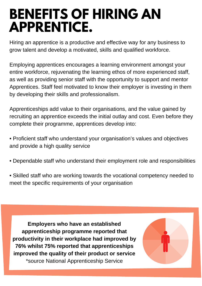### **BENEFITS OF HIRING AN APPRENTICE.**

Hiring an apprentice is a productive and effective way for any business to grow talent and develop a motivated, skills and qualified workforce.

Employing apprentices encourages a learning environment amongst your entire workforce, rejuvenating the learning ethos of more experienced staff, as well as providing senior staff with the opportunity to support and mentor Apprentices. Staff feel motivated to know their employer is investing in them by developing their skills and professionalism.

Apprenticeships add value to their organisations, and the value gained by recruiting an apprentice exceeds the initial outlay and cost. Even before they complete their programme, apprentices develop into:

• Proficient staff who understand your organisation's values and objectives and provide a high quality service

- Dependable staff who understand their employment role and responsibilities
- Skilled staff who are working towards the vocational competency needed to meet the specific requirements of your organisation

**Employers who have an established apprenticeship programme reported that productivity in their workplace had improved by 76% whilst 75% reported that apprenticeships improved the quality of their product or service** \*source National Apprenticeship Service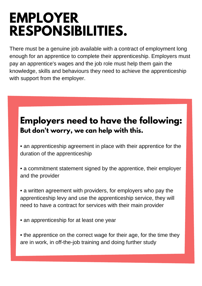#### **EMPLOYER RESPONSIBILITIES.**

There must be a genuine job available with a contract of employment long enough for an apprentice to complete their apprenticeship. Employers must pay an apprentice's wages and the job role must help them gain the knowledge, skills and behaviours they need to achieve the apprenticeship with support from the employer.

#### **Employers need to have the following: But don't worry, we can help with this.**

• an apprenticeship agreement in place with their apprentice for the duration of the apprenticeship

• a commitment statement signed by the apprentice, their employer and the provider

• a written agreement with providers, for employers who pay the apprenticeship levy and use the apprenticeship service, they will need to have a contract for services with their main provider

• an apprenticeship for at least one year

0300 003 7073

• the apprentice on the correct wage for their age, for the time they are in work, in off-the-job training and doing further study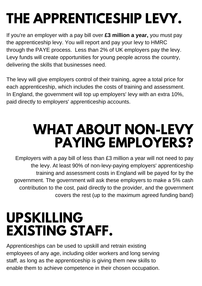# **THE APPRENTICESHIP LEVY.**

If you're an employer with a pay bill over **£3 million a year,** you must pay the apprenticeship levy. You will report and pay your levy to HMRC through the PAYE process. Less than 2% of UK employers pay the levy. Levy funds will create opportunities for young people across the country, delivering the skills that businesses need.

The levy will give employers control of their training, agree a total price for each apprenticeship, which includes the costs of training and assessment. In England, the government will top up employers' levy with an extra 10%, paid directly to employers' apprenticeship accounts.

### **WHAT ABOUT NON-LEVY PAYING EMPLOYERS?**

Employers with a pay bill of less than £3 million a year will not need to pay the levy. At least 90% of non-levy-paying employers' apprenticeship training and assessment costs in England will be payed for by the government. The government will ask these employers to make a 5% cash contribution to the cost, paid directly to the provider, and the government covers the rest (up to the maximum agreed funding band)

### **UPSKILLING EXISTING STAFF.**

staff, as long as the apprenticeship is giving them new skills to enable them to achieve competence in their chosen occupation. Apprenticeships can be used to upskill and retrain existing employees of any age, including older workers and long serving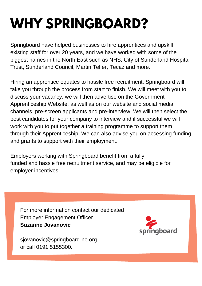# **WHY SPRINGBOARD?**

Springboard have helped businesses to hire apprentices and upskill existing staff for over 20 years, and we have worked with some of the biggest names in the North East such as NHS, City of Sunderland Hospital Trust, Sunderland Council, Martin Telfer, Tecaz and more.

Hiring an apprentice equates to hassle free recruitment, Springboard will take you through the process from start to finish. We will meet with you to discuss your vacancy, we will then advertise on the Government Apprenticeship Website, as well as on our website and social media channels, pre-screen applicants and pre-interview. We will then select the best candidates for your company to interview and if successful we will work with you to put together a training programme to support them through their Apprenticeship. We can also advise you on accessing funding and grants to support with their employment.

Employers working with Springboard benefit from a fully funded and hassle free recruitment service, and may be eligible for employer incentives.

For more information contact our dedicated Employer Engagement Officer **Suzanne Jovanovic**



sjovanovic@springboard-ne.org or call 0191 5155300.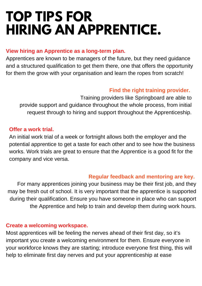### **TOP TIPS FOR HIRING AN APPRENTICE.**

#### **View hiring an Apprentice as a long-term plan.**

Apprentices are known to be managers of the future, but they need guidance and a structured qualification to get them there, one that offers the opportunity for them the grow with your organisation and learn the ropes from scratch!

#### **Find the right training provider.**

Training providers like Springboard are able to provide support and guidance throughout the whole process, from initial request through to hiring and support throughout the Apprenticeship.

#### **Offer a work trial.**

An initial work trial of a week or fortnight allows both the employer and the potential apprentice to get a taste for each other and to see how the business works. Work trials are great to ensure that the Apprentice is a good fit for the company and vice versa.

#### **Regular feedback and mentoring are key.**

For many apprentices joining your business may be their first job, and they may be fresh out of school. It is very important that the apprentice is supported during their qualification. Ensure you have someone in place who can support the Apprentice and help to train and develop them during work hours.

#### **Create a welcoming workspace.**

help to eliminate first day nerves and put your apprenticeship at ease Most apprentices will be feeling the nerves ahead of their first day, so it's important you create a welcoming environment for them. Ensure everyone in your workforce knows they are starting; introduce everyone first thing, this will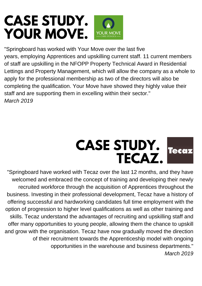#### **CASE STUDY. YOUR MOVE.**

"Springboard has worked with Your Move over the last five years, employing Apprentices and upskilling current staff. 11 current members of staff are upskilling in the NFOPP Property Technical Award in Residential Lettings and Property Management, which will allow the company as a whole to apply for the professional membership as two of the directors will also be completing the qualification. Your Move have showed they highly value their staff and are supporting them in excelling within their sector." *March 2019*



"Springboard have worked with Tecaz over the last 12 months, and they have welcomed and embraced the concept of training and developing their newly recruited workforce through the acquisition of Apprentices throughout the business. Investing in their professional development, Tecaz have a history of offering successful and hardworking candidates full time employment with the option of progression to higher level qualifications as well as other training and skills. Tecaz understand the advantages of recruiting and upskilling staff and offer many opportunities to young people, allowing them the chance to upskill and grow with the organisation. Tecaz have now gradually moved the direction of their recruitment towards the Apprenticeship model with ongoing opportunities in the warehouse and business departments." *March 2019*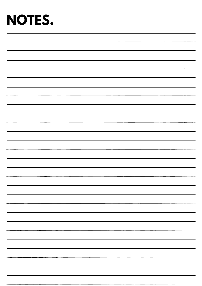### **NOTES.**

| $\sim$                                 |
|----------------------------------------|
|                                        |
|                                        |
|                                        |
| <u> 1970 - John Harrison, markin a</u> |
|                                        |
|                                        |
|                                        |
|                                        |
|                                        |
|                                        |
|                                        |